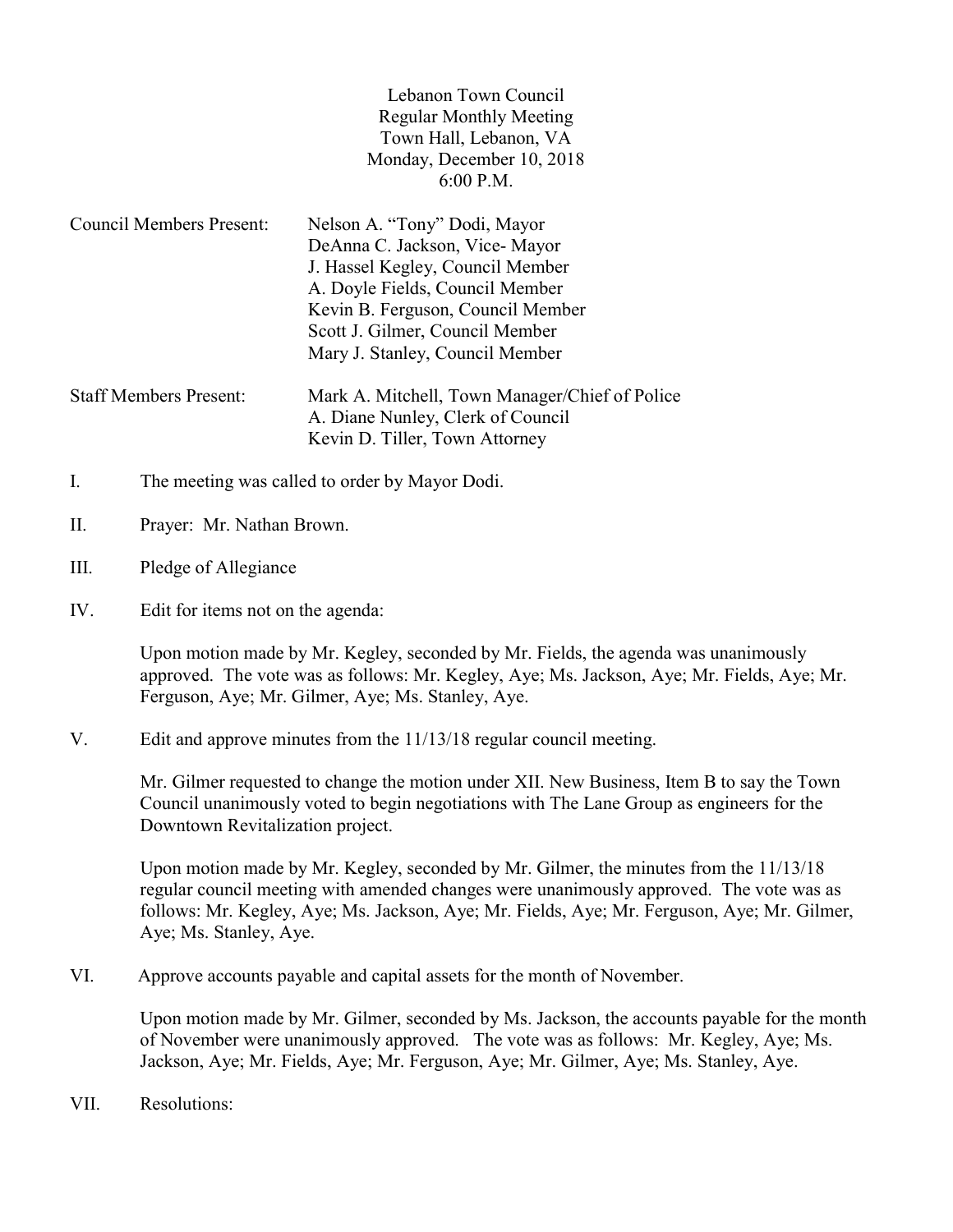| Lebanon Town Council           |
|--------------------------------|
| <b>Regular Monthly Meeting</b> |
| Town Hall, Lebanon, VA         |
| Monday, December 10, 2018      |
| $6:00$ P.M.                    |

Kevin D. Tiller, Town Attorney

- Council Members Present: Nelson A. "Tony" Dodi, Mayor DeAnna C. Jackson, Vice- Mayor J. Hassel Kegley, Council Member A. Doyle Fields, Council Member Kevin B. Ferguson, Council Member Scott J. Gilmer, Council Member Mary J. Stanley, Council Member Staff Members Present: Mark A. Mitchell, Town Manager/Chief of Police A. Diane Nunley, Clerk of Council
- I. The meeting was called to order by Mayor Dodi.
- II. Prayer: Mr. Nathan Brown.
- III. Pledge of Allegiance
- IV. Edit for items not on the agenda:

Upon motion made by Mr. Kegley, seconded by Mr. Fields, the agenda was unanimously approved. The vote was as follows: Mr. Kegley, Aye; Ms. Jackson, Aye; Mr. Fields, Aye; Mr. Ferguson, Aye; Mr. Gilmer, Aye; Ms. Stanley, Aye.

V. Edit and approve minutes from the 11/13/18 regular council meeting.

 Mr. Gilmer requested to change the motion under XII. New Business, Item B to say the Town Council unanimously voted to begin negotiations with The Lane Group as engineers for the Downtown Revitalization project.

 Upon motion made by Mr. Kegley, seconded by Mr. Gilmer, the minutes from the 11/13/18 regular council meeting with amended changes were unanimously approved. The vote was as follows: Mr. Kegley, Aye; Ms. Jackson, Aye; Mr. Fields, Aye; Mr. Ferguson, Aye; Mr. Gilmer, Aye; Ms. Stanley, Aye.

VI. Approve accounts payable and capital assets for the month of November.

Upon motion made by Mr. Gilmer, seconded by Ms. Jackson, the accounts payable for the month of November were unanimously approved. The vote was as follows: Mr. Kegley, Aye; Ms. Jackson, Aye; Mr. Fields, Aye; Mr. Ferguson, Aye; Mr. Gilmer, Aye; Ms. Stanley, Aye.

VII. Resolutions: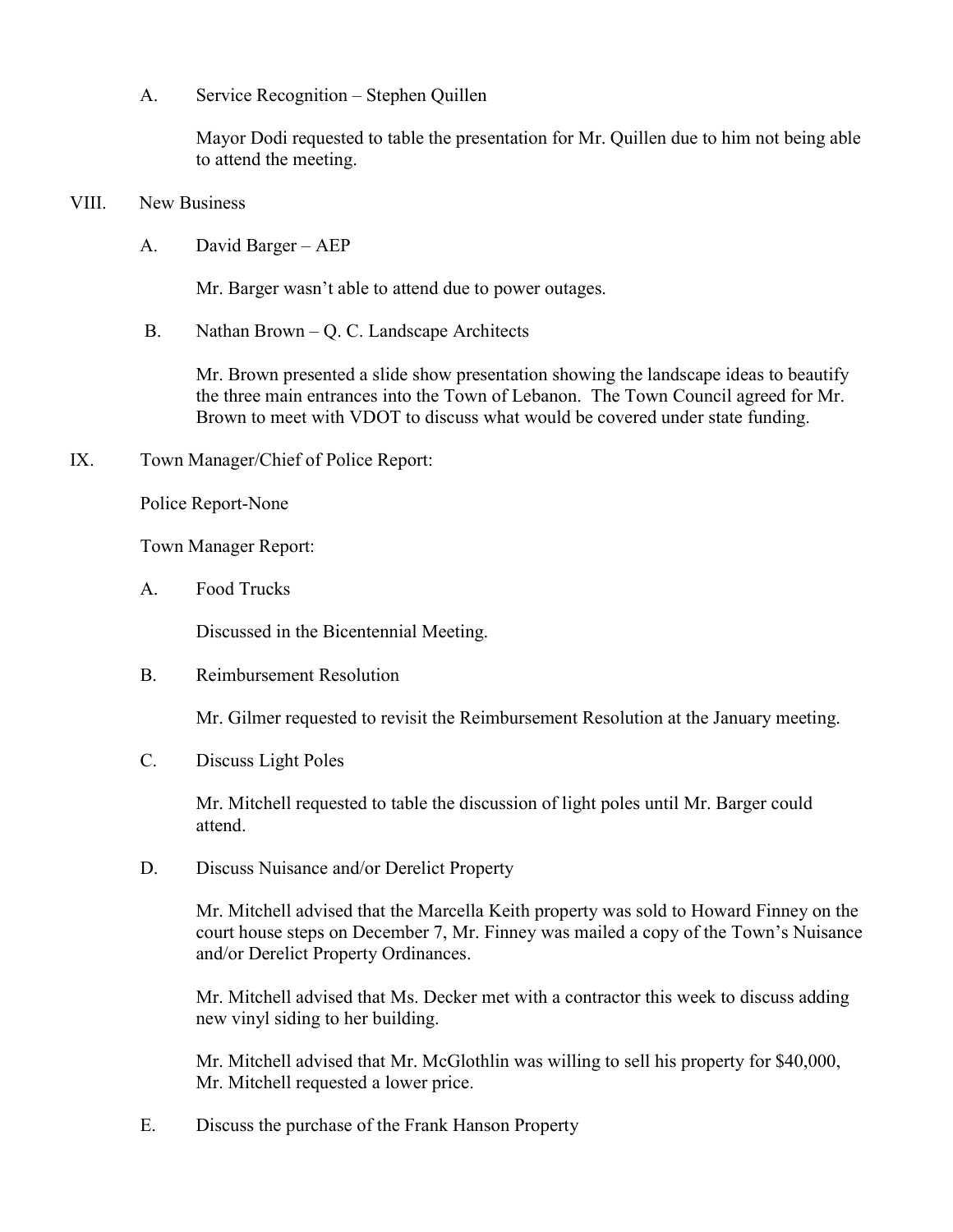A. Service Recognition – Stephen Quillen

 Mayor Dodi requested to table the presentation for Mr. Quillen due to him not being able to attend the meeting.

- VIII. New Business
	- A. David Barger AEP

Mr. Barger wasn't able to attend due to power outages.

B. Nathan Brown – Q. C. Landscape Architects

 Mr. Brown presented a slide show presentation showing the landscape ideas to beautify the three main entrances into the Town of Lebanon. The Town Council agreed for Mr. Brown to meet with VDOT to discuss what would be covered under state funding.

IX. Town Manager/Chief of Police Report:

Police Report-None

Town Manager Report:

A. Food Trucks

Discussed in the Bicentennial Meeting.

B. Reimbursement Resolution

Mr. Gilmer requested to revisit the Reimbursement Resolution at the January meeting.

C. Discuss Light Poles

Mr. Mitchell requested to table the discussion of light poles until Mr. Barger could attend.

D. Discuss Nuisance and/or Derelict Property

Mr. Mitchell advised that the Marcella Keith property was sold to Howard Finney on the court house steps on December 7, Mr. Finney was mailed a copy of the Town's Nuisance and/or Derelict Property Ordinances.

Mr. Mitchell advised that Ms. Decker met with a contractor this week to discuss adding new vinyl siding to her building.

Mr. Mitchell advised that Mr. McGlothlin was willing to sell his property for \$40,000, Mr. Mitchell requested a lower price.

E. Discuss the purchase of the Frank Hanson Property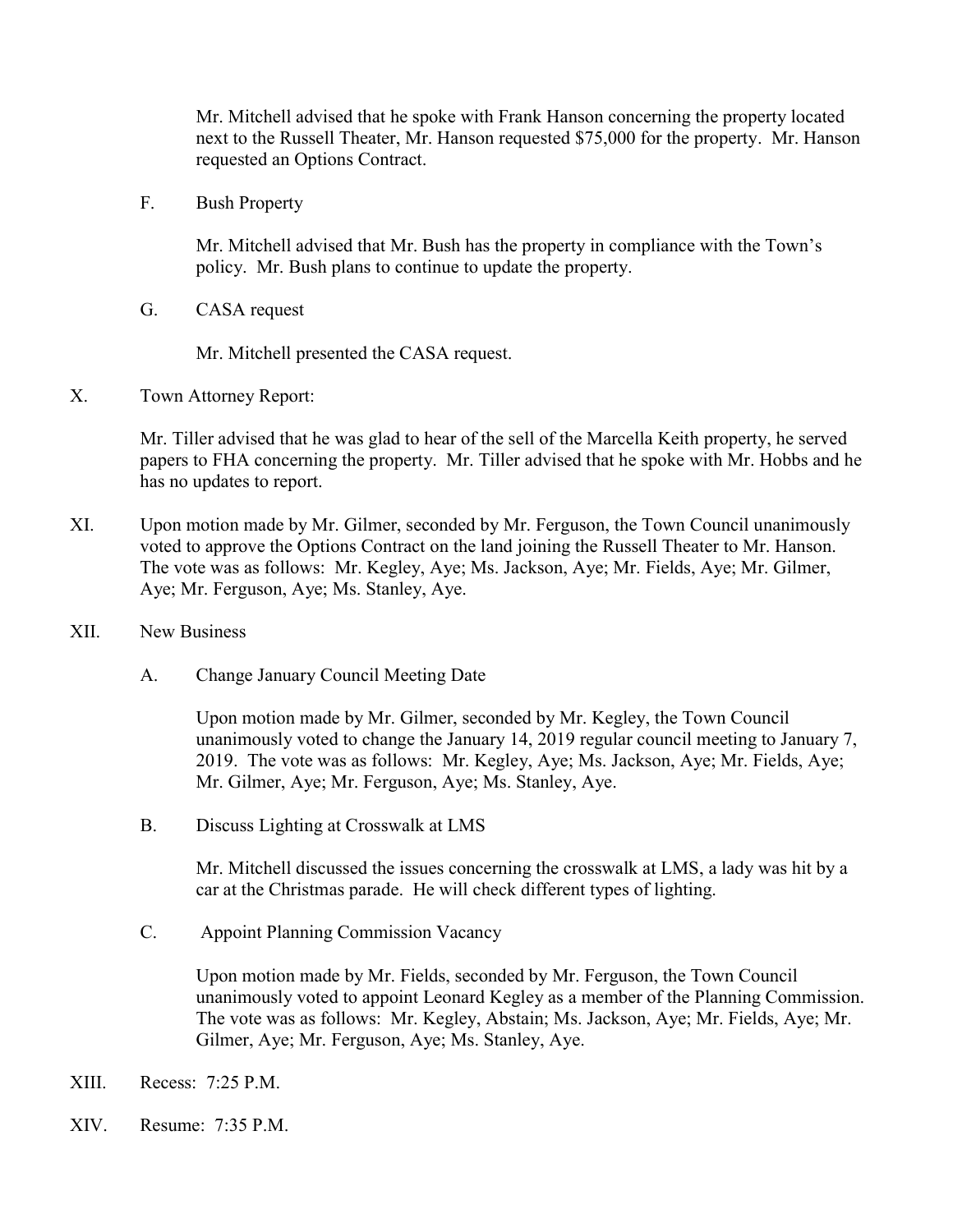Mr. Mitchell advised that he spoke with Frank Hanson concerning the property located next to the Russell Theater, Mr. Hanson requested \$75,000 for the property. Mr. Hanson requested an Options Contract.

F. Bush Property

Mr. Mitchell advised that Mr. Bush has the property in compliance with the Town's policy. Mr. Bush plans to continue to update the property.

G. CASA request

Mr. Mitchell presented the CASA request.

X. Town Attorney Report:

 Mr. Tiller advised that he was glad to hear of the sell of the Marcella Keith property, he served papers to FHA concerning the property. Mr. Tiller advised that he spoke with Mr. Hobbs and he has no updates to report.

- XI. Upon motion made by Mr. Gilmer, seconded by Mr. Ferguson, the Town Council unanimously voted to approve the Options Contract on the land joining the Russell Theater to Mr. Hanson. The vote was as follows: Mr. Kegley, Aye; Ms. Jackson, Aye; Mr. Fields, Aye; Mr. Gilmer, Aye; Mr. Ferguson, Aye; Ms. Stanley, Aye.
- XII. New Business
	- A. Change January Council Meeting Date

Upon motion made by Mr. Gilmer, seconded by Mr. Kegley, the Town Council unanimously voted to change the January 14, 2019 regular council meeting to January 7, 2019. The vote was as follows: Mr. Kegley, Aye; Ms. Jackson, Aye; Mr. Fields, Aye; Mr. Gilmer, Aye; Mr. Ferguson, Aye; Ms. Stanley, Aye.

B. Discuss Lighting at Crosswalk at LMS

Mr. Mitchell discussed the issues concerning the crosswalk at LMS, a lady was hit by a car at the Christmas parade. He will check different types of lighting.

C. Appoint Planning Commission Vacancy

Upon motion made by Mr. Fields, seconded by Mr. Ferguson, the Town Council unanimously voted to appoint Leonard Kegley as a member of the Planning Commission. The vote was as follows: Mr. Kegley, Abstain; Ms. Jackson, Aye; Mr. Fields, Aye; Mr. Gilmer, Aye; Mr. Ferguson, Aye; Ms. Stanley, Aye.

- XIII. Recess: 7:25 P.M.
- XIV. Resume: 7:35 P.M.